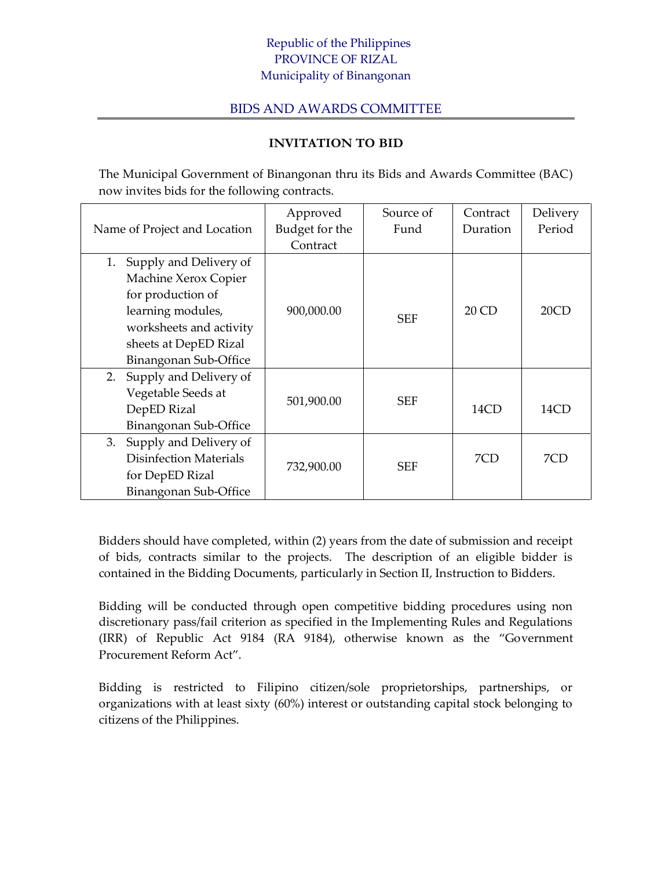## Republic of the Philippines PROVINCE OF RIZAL Municipality of Binangonan

## BIDS AND AWARDS COMMITTEE

## **INVITATION TO BID**

The Municipal Government of Binangonan thru its Bids and Awards Committee (BAC) now invites bids for the following contracts.

|                               | Approved       | Source of  | Contract | Delivery |
|-------------------------------|----------------|------------|----------|----------|
| Name of Project and Location  | Budget for the | Fund       | Duration | Period   |
|                               | Contract       |            |          |          |
| Supply and Delivery of<br>1.  |                |            |          |          |
| Machine Xerox Copier          |                |            |          |          |
| for production of             |                |            |          |          |
| learning modules,             | 900,000.00     | <b>SEF</b> | 20CD     | 20CD     |
| worksheets and activity       |                |            |          |          |
| sheets at DepED Rizal         |                |            |          |          |
| Binangonan Sub-Office         |                |            |          |          |
| 2. Supply and Delivery of     |                |            |          |          |
| Vegetable Seeds at            |                | <b>SEF</b> |          |          |
| DepED Rizal                   | 501,900.00     |            | 14CD     | 14CD     |
| Binangonan Sub-Office         |                |            |          |          |
| Supply and Delivery of<br>3.  |                |            |          |          |
| <b>Disinfection Materials</b> |                | <b>SEF</b> | 7CD      | 7CD      |
| for DepED Rizal               | 732,900.00     |            |          |          |
| Binangonan Sub-Office         |                |            |          |          |

Bidders should have completed, within (2) years from the date of submission and receipt of bids, contracts similar to the projects. The description of an eligible bidder is contained in the Bidding Documents, particularly in Section II, Instruction to Bidders.

Bidding will be conducted through open competitive bidding procedures using non discretionary pass/fail criterion as specified in the Implementing Rules and Regulations (IRR) of Republic Act 9184 (RA 9184), otherwise known as the "Government Procurement Reform Act".

Bidding is restricted to Filipino citizen/sole proprietorships, partnerships, or organizations with at least sixty (60%) interest or outstanding capital stock belonging to citizens of the Philippines.